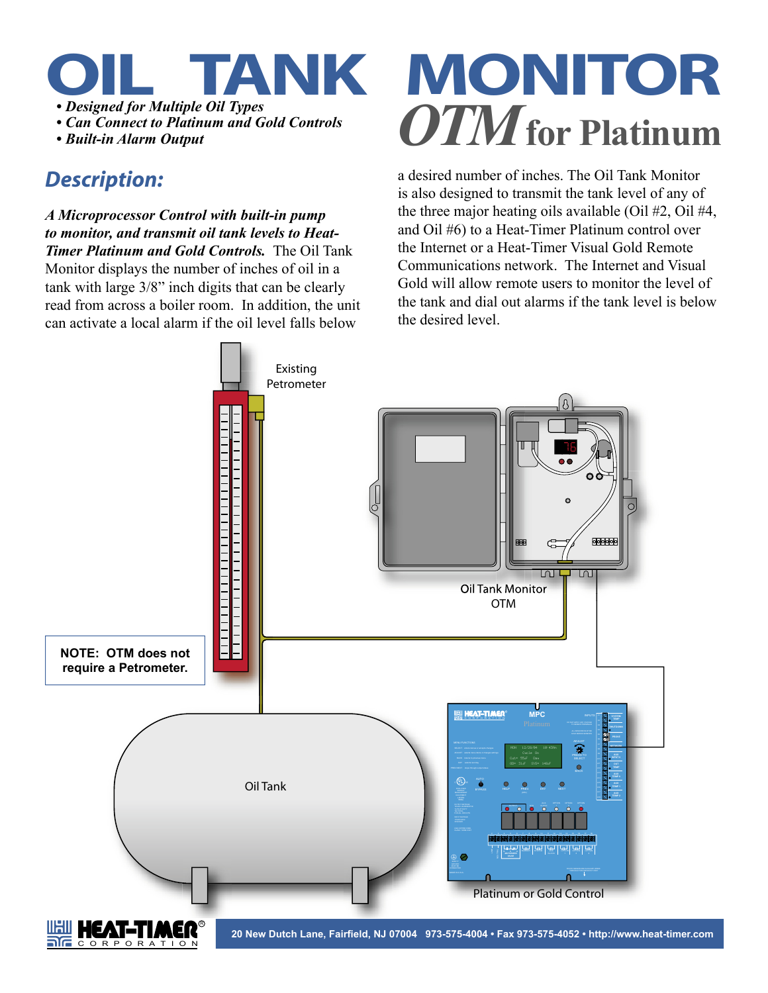

 *• Can Connect to Platinum and Gold Controls*

## *Description:*

*A Microprocessor Control with built-in pump to monitor, and transmit oil tank levels to Heat-Timer Platinum and Gold Controls.* The Oil Tank Monitor displays the number of inches of oil in a tank with large 3/8" inch digits that can be clearly read from across a boiler room. In addition, the unit can activate a local alarm if the oil level falls below

## **TANK MONITOR** • Designed for Multiple Oil Types<br>• Can Connect to Platinum and Gold Controls<br>• Built-in Alarm Output

a desired number of inches. The Oil Tank Monitor is also designed to transmit the tank level of any of the three major heating oils available (Oil #2, Oil #4, and Oil #6) to a Heat-Timer Platinum control over the Internet or a Heat-Timer Visual Gold Remote Communications network. The Internet and Visual Gold will allow remote users to monitor the level of the tank and dial out alarms if the tank level is below the desired level.